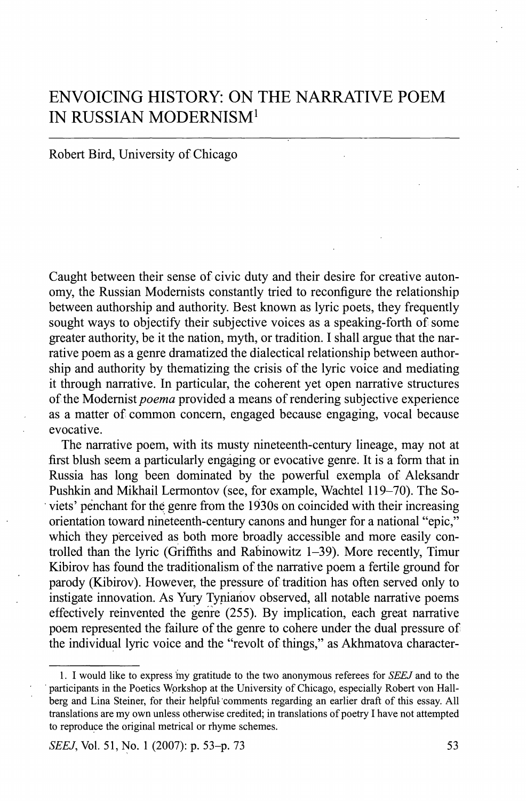# ENVOICING HISTORY: ON THE NARRATIVE POEM IN RUSSIAN MODERNISM<sup>1</sup>

## Robert Bird, University of Chicago

Caught between their sense of civic duty and their desire for creative autonomy, the Russian Modernists constantly tried to reconfigure the relationship between authorship and authority. Best known as lyric poets, they frequently sought ways to objectify their subjective voices as a speaking-forth of some greater authority, be it the nation, myth, or tradition. I shall argue that the narrative poem as a genre dramatized the dialectical relationship between authorship and authority by thematizing the crisis of the lyric voice and mediating it through narrative. In particular, the coherent yet open narrative structures of the Modernist *poema* provided a means of rendering subjective experience as a matter of common concern, engaged because engaging, vocal because evocative.

The narrative poem, with its musty nineteenth-century lineage, may not at first blush seem a particularly engaging or evocative genre. It is a form that in Russia has long been dominated by the powerful exempla of Aleksandr Pushkin and Mikhail Lermontov (see, for example, Wachtel 119-70). The Soviets' penchant for the genre from the 1930s on coincided with their increasing orientation toward nineteenth-century canons and hunger for a national "epic," which they perceived as both more broadly accessible and more easily controlled than the lyric (Griffiths and Rabinowitz 1-39). More recently, Timur Kibirov has found the traditionalism of the narrative poem a fertile ground for parody (Kibirov). However, the pressure of tradition has often served only to instigate innovation. As Yury Tynianov observed, all notable narrative poems effectively reinvented the genre (255). By implication, each great narrative poem represented the failure of the genre to cohere under the dual pressure of the individual lyric voice and the "revolt of things," as Akhmatova character-

<sup>1.</sup> I would like to express *my* gratitude to the two anonymous referees for *SEEJ* and to the participants in the Poetics Workshop at the University of Chicago, especially Robert von Hallberg and Lina Steiner, for their helpful comments regarding an earlier draft of this essay. All translations are my own unless otherwise credited; in translations of poetry I have not attempted to reproduce the original metrical or rhyme schemes.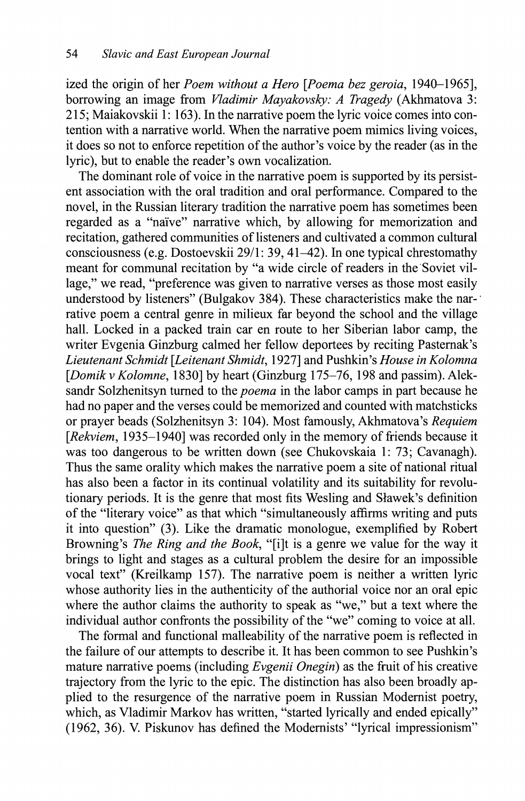ized the origin of her *Poem without a Hero [Poema bez geroia*, 1940-1965], borrowing an image from *Vladimir Mayakovsky: A Tragedy* (Akhmatova 3: 215; Maiakovskii 1: 163). In the narrative poem the lyric voice comes into contention with a narrative world. When the narrative poem mimics living voices, it does so not to enforce repetition of the author's voice by the reader (as in the lyric), but to enable the reader's own vocalization.

The dominant role of voice in the narrative poem is supported by its persistent association with the oral tradition and oral performance. Compared to the novel, in the Russian literary tradition the narrative poem has sometimes been regarded as a "naïve" narrative which, by allowing for memorization and recitation, gathered communities of listeners and cultivated a common cultural consciousness (e.g. Dostoevskii 29/1: 39, 41-42). In one typical chrestomathy meant for communal recitation by "a wide circle of readers in the Soviet village," we read, "preference was given to narrative verses as those most easily understood by listeners" (Bulgakov 384). These characteristics make the nar-' rative poem a central genre in milieux far beyond the school and the village hall. Locked in a packed train car en route to her Siberian labor camp, the writer Evgenia Ginzburg calmed her fellow deportees by reciting Pasternak's *Lieutenant Schmidt [Leitenant Shmidt*, 1927] and Pushkin's *House in Kolomna [Domik* V *Kolomne*, 1830] by heart (Ginzburg 175-76, 198 and passim). Aleksandr Solzhenitsyn turned to the *poema* in the labor camps in part because he had no paper and the verses could be memorized and counted with matchsticks or prayer beads (Solzhenitsyn 3: 104). Most famously, Akhmatova's *Requiem*  [*Rekviem*, 1935–1940] was recorded only in the memory of friends because it was too dangerous to be written down (see Chukovskaia 1: 73; Cavanagh). Thus the same orality which makes the narrative poem a site of national ritual has also been a factor in its continual volatility and its suitability for revolutionary periods. It is the genre that most fits Wesling and Slawek's definition of the "literary voice" as that which "simultaneously affirms writing and puts it into question" (3). Like the dramatic monologue, exemplified by Robert Browning's *The Ring and the Book*, "[i]t is a genre we value for the way it brings to light and stages as a cultural problem the desire for an impossible vocal text" (Kreilkamp 157). The narrative poem is neither a written lyric whose authority lies in the authority of the authorial voice nor an oral epic where the author claims the authority to speak as "we," but a text where the individual author confronts the possibility of the "we" coming to voice at all.

The formal and functional malleability of the narrative poem is reflected in the failure of our attempts to describe it. It has been common to see Pushkin's mature narrative poems (including *Evgenii Onegin)* as the fruit of his creative trajectory from the lyric to the epic. The distinction has also been broadly applied to the resurgence of the narrative poem in Russian Modernist poetry, which, as Vladimir Markov has written, "started lyrically and ended epically" (1962, 36). V. Piskunov has defined the Modernists' "lyrical impressionism"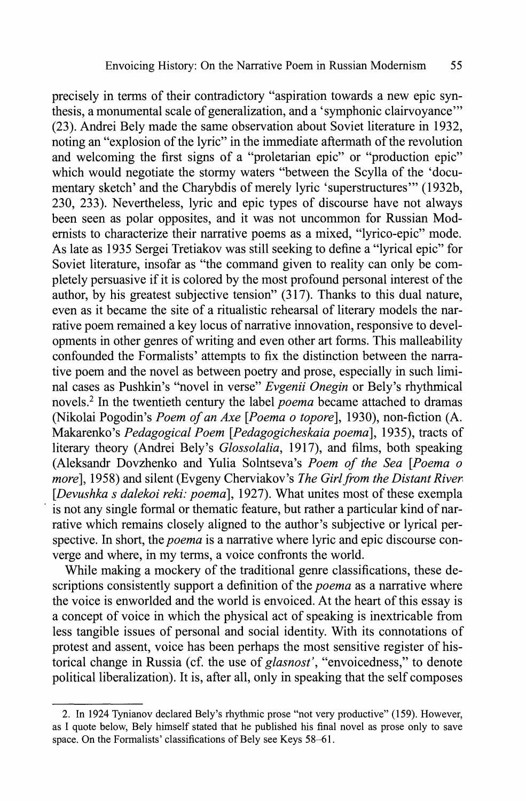precisely in terms of their contradictory "aspiration towards a new epic synthesis, a monumental scale of generalization, and a 'symphonic clairvoyance"' (23). Andrei Bely made the same observation about Soviet literature in 1932, noting an "explosion of the lyric" in the immediate aftermath of the revolution and welcoming the first signs of a "proletarian epic" or "production epic" which would negotiate the stormy waters "between the Scylla of the 'documentary sketch' and the Charybdis of merely lyric 'superstructures'" (1932b, 230, 233). Nevertheless, lyric and epic types of discourse have not always been seen as polar opposites, and it was not uncommon for Russian Modernists to characterize their narrative poems as a mixed, "lyrico-epic" mode. As late as 1935 Sergei Tretiakov was still seeking to define a "lyrical epic" for Soviet literature, insofar as "the command given to reality can only be completely persuasive if it is colored by the most profound personal interest of the author, by his greatest subjective tension" (317). Thanks to this dual nature, even as it became the site of a ritualistic rehearsal of literary models the narrative poem remained a key locus of narrative innovation, responsive to developments in other genres of writing and even other art forms. This malleability confounded the Formalists' attempts to fix the distinction between the narrative poem and the novel as between poetry and prose, especially in such liminal cases as Pushkin's "novel in verse" *Evgenii Onegin* or Bely's rhythmical novels.<sup>2</sup> In the twentieth century the label *poema* became attached to dramas (Nikolai Pogodin's *Poem of an Axe [Poema о topore*], 1930), non-fiction (A. Makarenko's *Pedagogical Poem [.Pedagogicheskaia poema],* 1935), tracts of literary theory (Andrei Bely's *Glossolalia*, 1917), and films, both speaking (Aleksandr Dovzhenko and Yulia Solntseva's *Poem of the Sea [Poema о more],* 1958) and silent (Evgeny Cherviakov's *The Girl from the Distant River [Devushka s dalekoi reki: poema],* 1927). What unites most of these exempla is not any single formal or thematic feature, but rather a particular kind of narrative which remains closely aligned to the author's subjective or lyrical perspective. In short, the *poema* is a narrative where lyric and epic discourse converge and where, in my terms, a voice confronts the world.

While making a mockery of the traditional genre classifications, these descriptions consistently support a definition of the *poema* as a narrative where the voice is enworlded and the world is envoiced. At the heart of this essay is a concept of voice in which the physical act of speaking is inextricable from less tangible issues of personal and social identity. With its connotations of protest and assent, voice has been perhaps the most sensitive register of historical change in Russia (cf. the use of *glasnost\* "envoicedness," to denote political liberalization). It is, after all, only in speaking that the self composes

<sup>2.</sup> In 1924 Tynianov declared Bely's rhythmic prose "not very productive" (159). However, as I quote below, Bely himself stated that he published his final novel as prose only to save space. On the Formalists' classifications of Bely see Keys 58-61.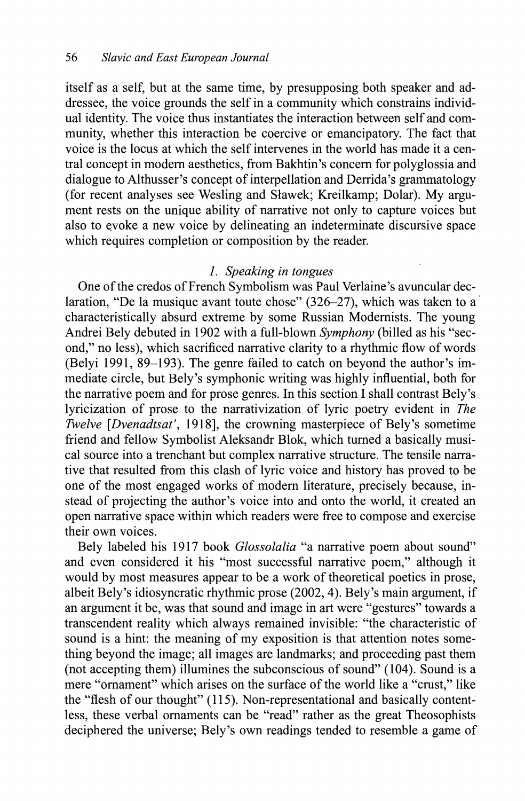itself as a self, but at the same time, by presupposing both speaker and addressee, the voice grounds the self in a community which constrains individual identity. The voice thus instantiates the interaction between self and community, whether this interaction be coercive or emancipatory. The fact that voice is the locus at which the self intervenes in the world has made it a central concept in modern aesthetics, from Bakhtin's concern for polyglossia and dialogue to Althusser's concept of interpellation and Derrida's grammatology (for recent analyses see Wesling and Slawek; Kreilkamp; Dolar). My argument rests on the unique ability of narrative not only to capture voices but also to evoke a new voice by delineating an indeterminate discursive space which requires completion or composition by the reader.

## *1. Speaking in tongues*

One of the credos of French Symbolism was Paul Verlaine's avuncular declaration, "De la musique avant toute chose" (326-27), which was taken to a characteristically absurd extreme by some Russian Modernists. The young Andrei Bely debuted in 1902 with a full-blown *Symphony* (billed as his "second," no less), which sacrificed narrative clarity to a rhythmic flow of words (Belyi 1991, 89-193). The genre failed to catch on beyond the author's immediate circle, but Bely's symphonic writing was highly influential, both for the narrative poem and for prose genres. In this section I shall contrast Bely's lyricization of prose to the narrativization of lyric poetry evident in *The Twelve [Dvenadtsat',* 1918], the crowning masterpiece of Bely's sometime friend and fellow Symbolist Aleksandr Blok, which turned a basically musical source into a trenchant but complex narrative structure. The tensile narrative that resulted from this clash of lyric voice and history has proved to be one of the most engaged works of modern literature, precisely because, instead of projecting the author's voice into and onto the world, it created an open narrative space within which readers were free to compose and exercise their own voices.

Bely labeled his 1917 book *Glossolalia* "a narrative poem about sound" and even considered it his "most successful narrative poem," although it would by most measures appear to be a work of theoretical poetics in prose, albeit Bely's idiosyncratic rhythmic prose (2002,4). Bely's main argument, if an argument it be, was that sound and image in art were "gestures" towards a transcendent reality which always remained invisible: "the characteristic of sound is a hint: the meaning of my exposition is that attention notes something beyond the image; all images are landmarks; and proceeding past them (not accepting them) illumines the subconscious of sound" (104). Sound is a mere "ornament" which arises on the surface of the world like a "crust," like the "flesh of our thought" (115). Non-representational and basically contentless, these verbal ornaments can be "read" rather as the great Theosophists deciphered the universe; Bely's own readings tended to resemble a game of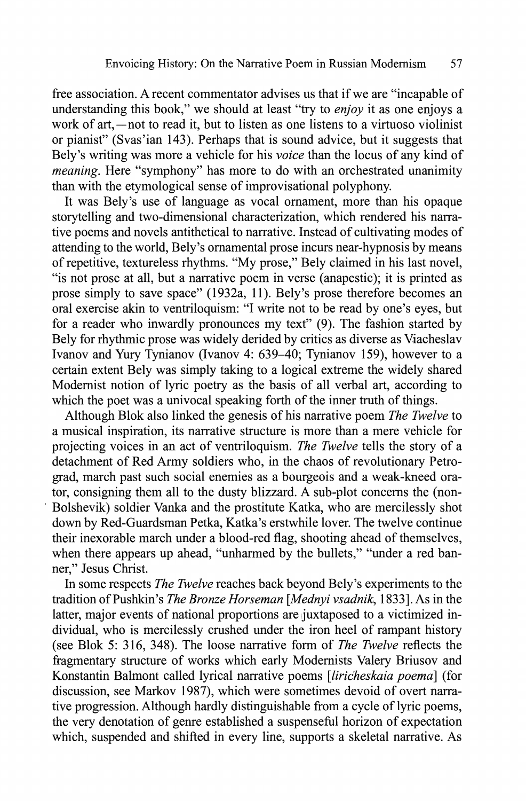free association. A recent commentator advises us that if we are "incapable of understanding this book," we should at least "try to *enjoy* it as one enjoys a work of art,—not to read it, but to listen as one listens to a virtuoso violinist or pianist" (Svas'ian 143). Perhaps that is sound advice, but it suggests that Bely's writing was more a vehicle for his *voice* than the locus of any kind of *meaning.* Here "symphony" has more to do with an orchestrated unanimity than with the etymological sense of improvisational polyphony.

It was Bely's use of language as vocal ornament, more than his opaque storytelling and two-dimensional characterization, which rendered his narrative poems and novels antithetical to narrative. Instead of cultivating modes of attending to the world, Bely's ornamental prose incurs near-hypnosis by means of repetitive, textureless rhythms. "My prose," Bely claimed in his last novel, "is not prose at all, but a narrative poem in verse (anapestic); it is printed as prose simply to save space" (1932a, 11). Bely's prose therefore becomes an oral exercise akin to ventriloquism: "I write not to be read by one's eyes, but for a reader who inwardly pronounces my text" (9). The fashion started by Bely for rhythmic prose was widely derided by critics as diverse as Viacheslav Ivanov and Yury Tynianov (Ivanov 4: 639-40; Tynianov 159), however to a certain extent Bely was simply taking to a logical extreme the widely shared Modernist notion of lyric poetry as the basis of all verbal art, according to which the poet was a univocal speaking forth of the inner truth of things.

Although Blok also linked the genesis of his narrative poem *The Twelve* to a musical inspiration, its narrative structure is more than a mere vehicle for projecting voices in an act of ventriloquism. *The Twelve* tells the story of a detachment of Red Army soldiers who, in the chaos of revolutionary Petrograd, march past such social enemies as a bourgeois and a weak-kneed orator, consigning them all to the dusty blizzard. A sub-plot concerns the (non-Bolshevik) soldier Vanka and the prostitute Katka, who are mercilessly shot down by Red-Guardsman Petka, Katka's erstwhile lover. The twelve continue their inexorable march under a blood-red flag, shooting ahead of themselves, when there appears up ahead, "unharmed by the bullets," "under a red banner," Jesus Christ.

In some respects *The Twelve* reaches back beyond Bely's experiments to the tradition of Pushkin's *The Bronze Horseman [Mednyi vsadnik*, 1833]. As in the latter, major events of national proportions are juxtaposed to a victimized individual, who is mercilessly crushed under the iron heel of rampant history (see Blok 5: 316, 348). The loose narrative form of *The Twelve* reflects the fragmentary structure of works which early Modernists Valéry Briusov and Konstantin Balmont called lyrical narrative poems *[liricheskaia poema]* (for discussion, see Markov 1987), which were sometimes devoid of overt narrative progression. Although hardly distinguishable from a cycle of lyric poems, the very denotation of genre established a suspenseful horizon of expectation which, suspended and shifted in every line, supports a skeletal narrative. As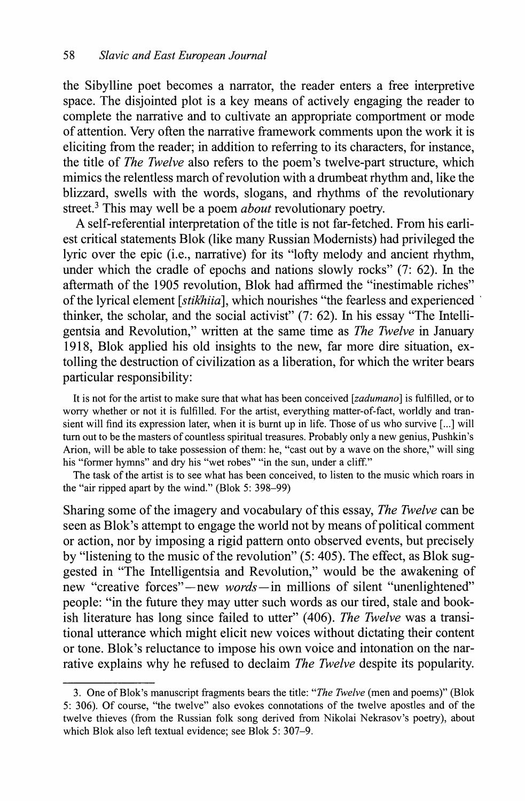the Sibylline poet becomes a narrator, the reader enters a free interpretive space. The disjointed plot is a key means of actively engaging the reader to complete the narrative and to cultivate an appropriate comportment or mode of attention. Very often the narrative framework comments upon the work it is eliciting from the reader; in addition to referring to its characters, for instance, the title of *The Twelve* also refers to the poem's twelve-part structure, which mimics the relentless march of revolution with a drumbeat rhythm and, like the blizzard, swells with the words, slogans, and rhythms of the revolutionary street.<sup>3</sup> This may well be a poem *about* revolutionary poetry.

A self-referential interpretation of the title is not far-fetched. From his earliest critical statements Blok (like many Russian Modernists) had privileged the lyric over the epic (i.e., narrative) for its "lofty melody and ancient rhythm, under which the cradle of epochs and nations slowly rocks" (7: 62). In the aftermath of the 1905 revolution, Blok had affirmed the "inestimable riches" of the lyrical element *[stikhiia],* which nourishes "the fearless and experienced thinker, the scholar, and the social activist" (7: 62). In his essay "The Intelligentsia and Revolution," written at the same time as *The Twelve* in January 1918, Blok applied his old insights to the new, far more dire situation, extolling the destruction of civilization as a liberation, for which the writer bears particular responsibility:

It is not for the artist to make sure that what has been conceived *[zadumano]* is fulfilled, or to worry whether or not it is fulfilled. For the artist, everything matter-of-fact, worldly and transient will find its expression later, when it is burnt up in life. Those of us who survive [...] will turn out to be the masters of countless spiritual treasures. Probably only a new genius, Pushkin's Arion, will be able to take possession of them: he, "cast out by a wave on the shore," will sing his "former hymns" and dry his "wet robes" "in the sun, under a cliff."

The task of the artist is to see what has been conceived, to listen to the music which roars in the "air ripped apart by the wind." (Blok 5: 398-99)

Sharing some of the imagery and vocabulary of this essay, *The Twelve* can be seen as Blok's attempt to engage the world not by means of political comment or action, nor by imposing a rigid pattern onto observed events, but precisely by "listening to the music of the revolution" (5: 405). The effect, as Blok suggested in "The Intelligentsia and Revolution," would be the awakening of new "creative forces"—new *words—*in millions of silent "unenlightened" people: "in the future they may utter such words as our tired, stale and bookish literature has long since failed to utter" (406). *The Twelve* was a transitional utterance which might elicit new voices without dictating their content or tone. Blok's reluctance to impose his own voice and intonation on the narrative explains why he refused to declaim *The Twelve* despite its popularity.

<sup>3.</sup> One of Blok's manuscript fragments bears the title: "*The Twelve* (men and poems)" (Blok 5: 306). Of course, "the twelve" also evokes connotations of the twelve apostles and of the twelve thieves (from the Russian folk song derived from Nikolai Nekrasov's poetry), about which Blok also left textual evidence; see Blok 5: 307-9.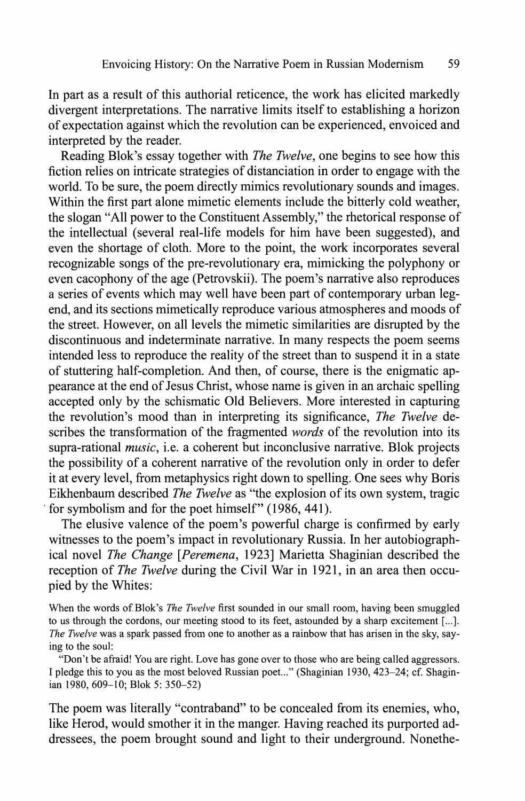In part as a result of this authorial reticence, the work has elicited markedly divergent interpretations. The narrative limits itself to establishing a horizon of expectation against which the revolution can be experienced, envoiced and interpreted by the reader.

Reading Blok's essay together with *The Twelve*, one begins to see how this fiction relies on intricate strategies of distanciation in order to engage with the world. To be sure, the poem directly mimics revolutionary sounds and images. Within the first part alone mimetic elements include the bitterly cold weather, the slogan "All power to the Constituent Assembly," the rhetorical response of the intellectual (several real-life models for him have been suggested), and even the shortage of cloth. More to the point, the work incorporates several recognizable songs of the pre-revolutionary era, mimicking the polyphony or even cacophony of the age (Petrovskii). The poem's narrative also reproduces a series of events which may well have been part of contemporary urban legend, and its sections mimetically reproduce various atmospheres and moods of the street. However, on all levels the mimetic similarities are disrupted by the discontinuous and indeterminate narrative. In many respects the poem seems intended less to reproduce the reality of the street than to suspend it in a state of stuttering half-completion. And then, of course, there is the enigmatic appearance at the end of Jesus Christ, whose name is given in an archaic spelling accepted only by the schismatic Old Believers. More interested in capturing the revolution's mood than in interpreting its significance, *The Twelve* describes the transformation of the fragmented *words* of the revolution into its supra-rational *music*, i.e. a coherent but inconclusive narrative. Blok projects the possibility of a coherent narrative of the revolution only in order to defer it at every level, from metaphysics right down to spelling. One sees why Boris Eikhenbaum described *The Twelve* as "the explosion of its own system, tragic for symbolism and for the poet himself" (1986, 441).

The elusive valence of the poem's powerful charge is confirmed by early witnesses to the poem's impact in revolutionary Russia. In her autobiographical novel *The Change [Peremena*, 1923] Marietta Shaginian described the reception of *The Twelve* during the Civil War in 1921, in an area then occupied by the Whites:

When the words of Blok's *The Twelve* first sounded in our small room, having been smuggled to us through the cordons, our meeting stood to its feet, astounded by a sharp excitement [...]. *The Twelve* was a spark passed from one to another as a rainbow that has arisen in the sky, saying to the soul:

"Don't be afraid! You are right. Love has gone over to those who are being called aggressors. I pledge this to you as the most beloved Russian poet..." (Shaginian 1930, 423-24; cf. Shaginian 1980, 609-10; Blok 5: 350-52)

The poem was literally "contraband" to be concealed from its enemies, who, like Herod, would smother it in the manger. Having reached its purported addressees, the poem brought sound and light to their underground. Nonethe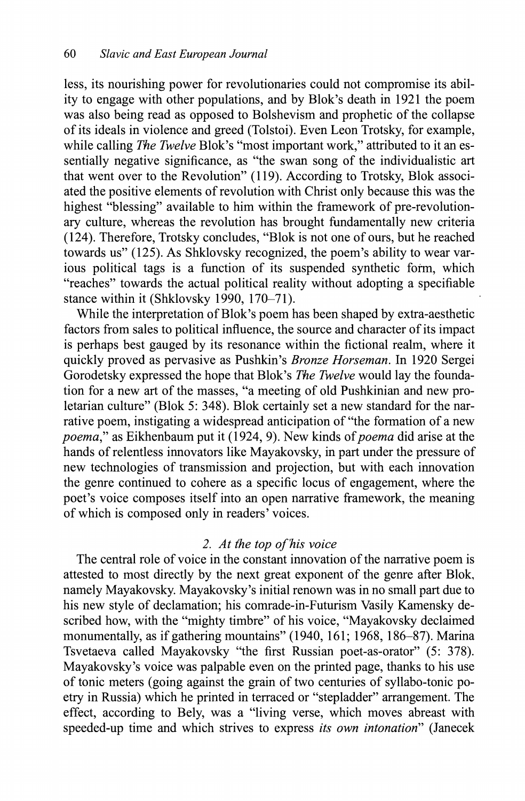less, its nourishing power for revolutionaries could not compromise its ability to engage with other populations, and by Blok's death in 1921 the poem was also being read as opposed to Bolshevism and prophetic of the collapse of its ideals in violence and greed (Tolstoi). Even Leon Trotsky, for example, while calling *The Twelve* Blok's "most important work," attributed to it an essentially negative significance, as "the swan song of the individualistic art that went over to the Revolution" (119). According to Trotsky, Blok associated the positive elements of revolution with Christ only because this was the highest "blessing" available to him within the framework of pre-revolutionary culture, whereas the revolution has brought fundamentally new criteria (124). Therefore, Trotsky concludes, "Blok is not one of ours, but he reached towards us" (125). As Shklovsky recognized, the poem's ability to wear various political tags is a function of its suspended synthetic form, which "reaches" towards the actual political reality without adopting a specifiable stance within it (Shklovsky 1990, 170-71).

While the interpretation of Blok's poem has been shaped by extra-aesthetic factors from sales to political influence, the source and character of its impact is perhaps best gauged by its resonance within the fictional realm, where it quickly proved as pervasive as Pushkin's *Bronze Horseman.* In 1920 Sergei Gorodetsky expressed the hope that Blok's *The Twelve* would lay the foundation for a new art of the masses, "a meeting of old Pushkinian and new proletarian culture" (Blok 5: 348). Blok certainly set a new standard for the narrative poem, instigating a widespread anticipation of "the formation of a new *poema"* as Eikhenbaum put it (1924, 9). New kinds of *poema* did arise at the hands of relentless innovators like Mayakovsky, in part under the pressure of new technologies of transmission and projection, but with each innovation the genre continued to cohere as a specific locus of engagement, where the poet's voice composes itself into an open narrative framework, the meaning of which is composed only in readers' voices.

# *2. At the top of his voice*

The central role of voice in the constant innovation of the narrative poem is attested to most directly by the next great exponent of the genre after Blok, namely Mayakovsky. Mayakovsky's initial renown was in no small part due to his new style of declamation; his comrade-in-Futurism Vasily Kamensky described how, with the "mighty timbre" of his voice, "Mayakovsky declaimed monumentally, as if gathering mountains" (1940, 161; 1968, 186-87). Marina Tsvetaeva called Mayakovsky "the first Russian poet-as-orator" (5: 378). Mayakovsky's voice was palpable even on the printed page, thanks to his use of tonic meters (going against the grain of two centuries of syllabo-tonic poetry in Russia) which he printed in terraced or "stepladder" arrangement. The effect, according to Bely, was a "living verse, which moves abreast with speeded-up time and which strives to express *its own intonation*" (Janecek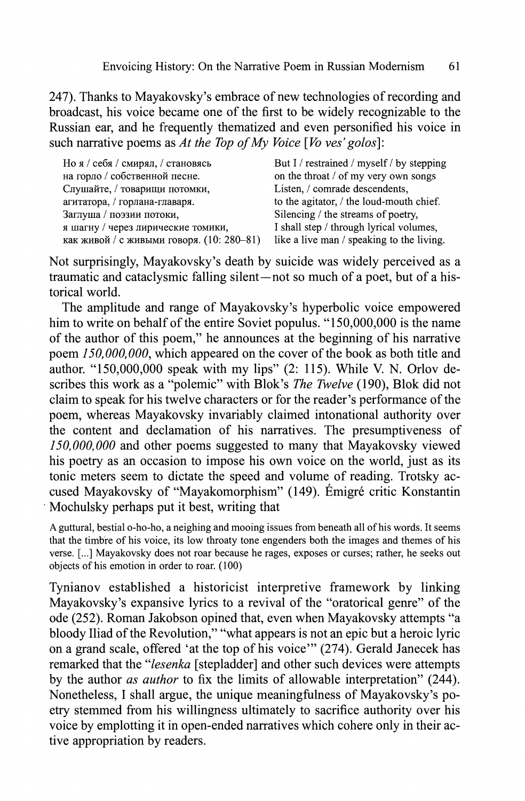247). Thanks to Mayakovsky's embrace of new technologies of recording and broadcast, his voice became one of the first to be widely recognizable to the Russian ear, and he frequently thematized and even personified his voice in such narrative poems as *At the Top of My Voice [Vo ves' golos]:* 

| Но я / себя / смирял, / становясь         | But I / restrained / myself / by stepping |
|-------------------------------------------|-------------------------------------------|
| на горло / собственной песне.             | on the throat / of my very own songs      |
| Слушайте, / товарищи потомки,             | Listen, / comrade descendents,            |
| агитатора, / горлана-главаря.             | to the agitator, / the loud-mouth chief.  |
| Заглуша / поэзии потоки,                  | Silencing / the streams of poetry.        |
| я шагну / через лирические томики,        | I shall step / through lyrical volumes,   |
| как живой / с живыми говоря. (10: 280–81) | like a live man / speaking to the living. |

Not surprisingly, Mayakovsky's death by suicide was widely perceived as a traumatic and cataclysmic falling silent—not so much of a poet, but of a historical world.

The amplitude and range of Mayakovsky's hyperbolic voice empowered him to write on behalf of the entire Soviet populus. "150,000,000 is the name of the author of this poem," he announces at the beginning of his narrative poem *150,000,000*, which appeared on the cover of the book as both title and author. "150,000,000 speak with my lips"  $(2: 115)$ . While V. N. Orlov describes this work as a "polemic" with Blok's *The Twelve* (190), Blok did not claim to speak for his twelve characters or for the reader's performance of the poem, whereas Mayakovsky invariably claimed intonational authority over the content and declamation of his narratives. The presumptiveness of *150,000,000* and other poems suggested to many that Mayakovsky viewed his poetry as an occasion to impose his own voice on the world, just as its tonic meters seem to dictate the speed and volume of reading. Trotsky accused Mayakovsky of "Mayakomorphism" (149). Émigré critic Konstantin Mochulsky perhaps put it best, writing that

A guttural, bestial o-ho-ho, a neighing and mooing issues from beneath all of his words. It seems that the timbre of his voice, its low throaty tone engenders both the images and themes of his verse. [...] Mayakovsky does not roar because he rages, exposes or curses; rather, he seeks out objects of his emotion in order to roar. (100)

Tynianov established a historicist interpretive framework by linking Mayakovsky's expansive lyrics to a revival of the "oratorical genre" of the ode (252). Roman Jakobson opined that, even when Mayakovsky attempts "a bloody Iliad of the Revolution," "what appears is not an epic but a heroic lyric on a grand scale, offered 'at the top of his voice'" (274). Gerald Janecek has remarked that the "*lesenka* [stepladder] and other such devices were attempts by the author *as author* to fix the limits of allowable interpretation" (244). Nonetheless, I shall argue, the unique meaningfulness of Mayakovsky's poetry stemmed from his willingness ultimately to sacrifice authority over his voice by emplotting it in open-ended narratives which cohere only in their active appropriation by readers.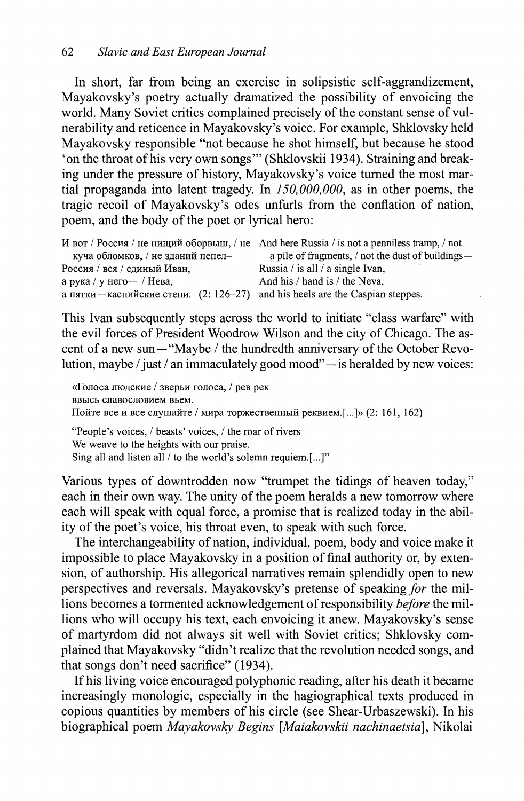In short, far from being an exercise in solipsistic self-aggrandizement, Mayakovsky's poetry actually dramatized the possibility of envoicing the world. Many Soviet critics complained precisely of the constant sense of vulnerability and reticence in Mayakovsky's voice. For example, Shklovsky held Mayakovsky responsible "not because he shot himself, but because he stood 'on the throat of his very own songs'" (Shklovskii 1934). Straining and breaking under the pressure of history, Mayakovsky's voice turned the most martial propaganda into latent tragedy. In *150,000,000*, as in other poems, the tragic recoil of Mayakovsky's odes unfurls from the conflation of nation, poem, and the body of the poet or lyrical hero:

|                                                                                  | И вот / Россия / не нищий оборвыш, / не And here Russia / is not a penniless tramp, / not |
|----------------------------------------------------------------------------------|-------------------------------------------------------------------------------------------|
| куча обломков, / не зданий пепел-                                                | a pile of fragments, / not the dust of buildings—                                         |
| Россия / вся / единый Иван,                                                      | Russia / is all / a single Ivan,                                                          |
| а рука / у него — / Нева,                                                        | And his / hand is / the Neva,                                                             |
| а пятки — каспийские степи. $(2: 126-27)$ and his heels are the Caspian steppes. |                                                                                           |

This Ivan subsequently steps across the world to initiate "class warfare" with the evil forces of President Woodrow Wilson and the city of Chicago. The ascent of a new sun—"Maybe / the hundredth anniversary of the October Revolution, maybe / just / an immaculately good mood"—is heralded by new voices:

«Голоса людские / зверьи голоса, / рев рек ввысь славословием вьем. Пойте все и все слушайте / мира торжественный реквием.[...]» (2: 161, 162) "People's voices, / beasts' voices, / the roar of rivers We weave to the heights with our praise. Sing all and listen all / to the world's solemn requiem.[...]"

Various types of downtrodden now "trumpet the tidings of heaven today," each in their own way. The unity of the poem heralds a new tomorrow where each will speak with equal force, a promise that is realized today in the ability of the poet's voice, his throat even, to speak with such force.

The interchangeability of nation, individual, poem, body and voice make it impossible to place Mayakovsky in a position of final authority or, by extension, of authorship. His allegorical narratives remain splendidly open to new perspectives and reversals. Mayakovsky's pretense of speaking *for* the millions becomes a tormented acknowledgement of responsibility *before* the millions who will occupy his text, each envoicing it anew. Mayakovsky's sense of martyrdom did not always sit well with Soviet critics; Shklovsky complained that Mayakovsky "didn't realize that the revolution needed songs, and that songs don't need sacrifice" (1934).

If his living voice encouraged polyphonic reading, after his death it became increasingly monologic, especially in the hagiographical texts produced in copious quantities by members of his circle (see Shear-Urbaszewski). In his biographical poem *Mayakovsky Begins [Maiakovskii nachinaetsia],* Nikolai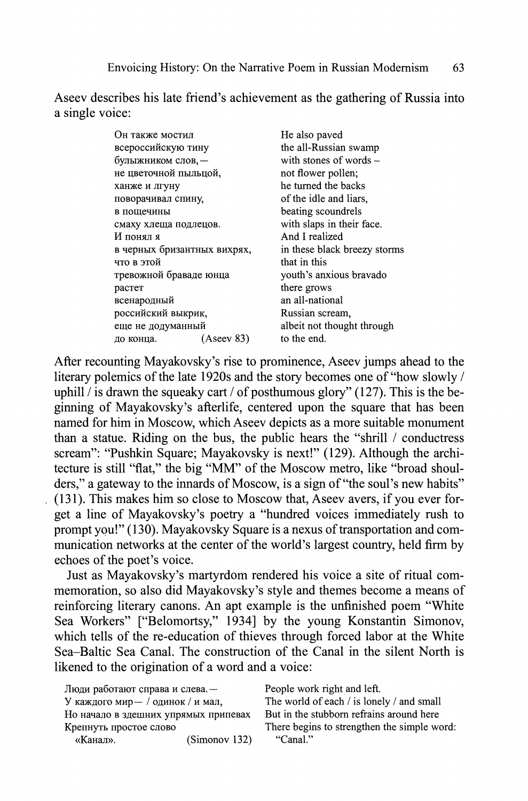Aseev describes his late friend's achievement as the gathering of Russia into a single voice:

| Он также мостил             |            | He also paved                |
|-----------------------------|------------|------------------------------|
| всероссийскую тину          |            | the all-Russian swamp        |
| булыжником слов, -          |            | with stones of words $-$     |
| не цветочной пыльцой,       |            | not flower pollen;           |
| ханже и лгуну               |            | he turned the backs          |
| поворачивал спину,          |            | of the idle and liars,       |
| в пощечины                  |            | beating scoundrels           |
| смаху хлеща подлецов.       |            | with slaps in their face.    |
| И понял я                   |            | And I realized               |
| в черных бризантных вихрях, |            | in these black breezy storms |
| что в этой                  |            | that in this                 |
| тревожной браваде юнца      |            | youth's anxious bravado      |
| растет                      |            | there grows                  |
| всенародный                 |            | an all-national              |
| российский выкрик,          |            | Russian scream,              |
| еще не додуманный           |            | albeit not thought through   |
| до конца.                   | (Aseev 83) | to the end.                  |
|                             |            |                              |

After recounting Mayakovsky's rise to prominence, Aseev jumps ahead to the literary polemics of the late 1920s and the story becomes one of "how slowly / uphill / is drawn the squeaky cart / of posthumous glory" (127). This is the beginning of Mayakovsky's afterlife, centered upon the square that has been named for him in Moscow, which Aseev depicts as a more suitable monument than a statue. Riding on the bus, the public hears the "shrill / conductress scream": "Pushkin Square; Mayakovsky is next!" (129). Although the architecture is still "flat," the big "MM" of the Moscow metro, like "broad shoulders," a gateway to the innards of Moscow, is a sign of "the soul's new habits" (131). This makes him so close to Moscow that, Aseev avers, if you ever forget a line of Mayakovsky's poetry a "hundred voices immediately rush to prompt you!" (130). Mayakovsky Square is a nexus of transportation and communication networks at the center of the world's largest country, held firm by echoes of the poet's voice.

Just as Mayakovsky's martyrdom rendered his voice a site of ritual commemoration, so also did Mayakovsky's style and themes become a means of reinforcing literary canons. An apt example is the unfinished poem "White Sea Workers" ["Belomortsy," 1934] by the young Konstantin Simonov, which tells of the re-education of thieves through forced labor at the White Sea-Baltic Sea Canal. The construction of the Canal in the silent North is likened to the origination of a word and a voice:

| Люди работают справа и слева. -      |               |
|--------------------------------------|---------------|
| У каждого мир - / одинок / и мал,    |               |
| Но начало в здешних упрямых припевах |               |
| Крепнуть простое слово               |               |
| «Канал».                             | (Simonov 132) |

People work right and left. The world of each / is lonely / and small But in the stubborn refrains around here There begins to strengthen the simple word: «Канал». (Simonov 132) "Canal."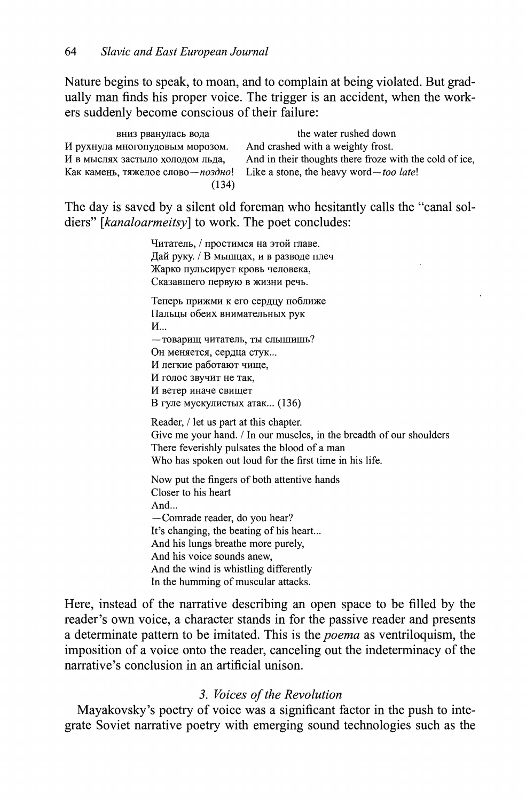Nature begins to speak, to moan, and to complain at being violated. But gradually man finds his proper voice. The trigger is an accident, when the workers suddenly become conscious of their failure:

| вниз рванулась вода                        | the water rushed down                                   |
|--------------------------------------------|---------------------------------------------------------|
| И рухнула многопудовым морозом.            | And crashed with a weighty frost.                       |
| И в мыслях застыло холодом льда,           | And in their thoughts there froze with the cold of ice, |
| Как камень, тяжелое слово— <i>поздно</i> ! | Like a stone, the heavy word—too late!                  |
| (134)                                      |                                                         |

The day is saved by a silent old foreman who hesitantly calls the "canal soldiers" *[kanaloarmeitsy]* to work. The poet concludes:

> Читатель, / простимся на этой главе. Дай руку. / В мышцах, и в разводе плеч Жарко пульсирует кровь человека, Сказавшего первую в жизни речь. Теперь прижми к его сердцу поближе Пальцы обеих внимательных рук И... - товарищ читатель, ты слышишь? Он меняется, сердца стук... И легкие работают чище. И голос звучит не так, И ветер иначе свищет В гуле мускулистых атак... (136) Reader, / let us part at this chapter. Give me your hand. / In our muscles, in the breadth of our shoulders There feverishly pulsates the blood of a man Who has spoken out loud for the first time in his life. Now put the fingers of both attentive hands Closer to his heart And... —Comrade reader, do you hear? It's changing, the beating of his heart... And his lungs breathe more purely, And his voice sounds anew, And the wind is whistling differently In the humming of muscular attacks.

Here, instead of the narrative describing an open space to be filled by the reader's own voice, a character stands in for the passive reader and presents a determinate pattern to be imitated. This is the *poema* as ventriloquism, the imposition of a voice onto the reader, canceling out the indeterminacy of the narrative's conclusion in an artificial unison.

## *3. Voices of the Revolution*

Mayakovsky's poetry of voice was a significant factor in the push to integrate Soviet narrative poetry with emerging sound technologies such as the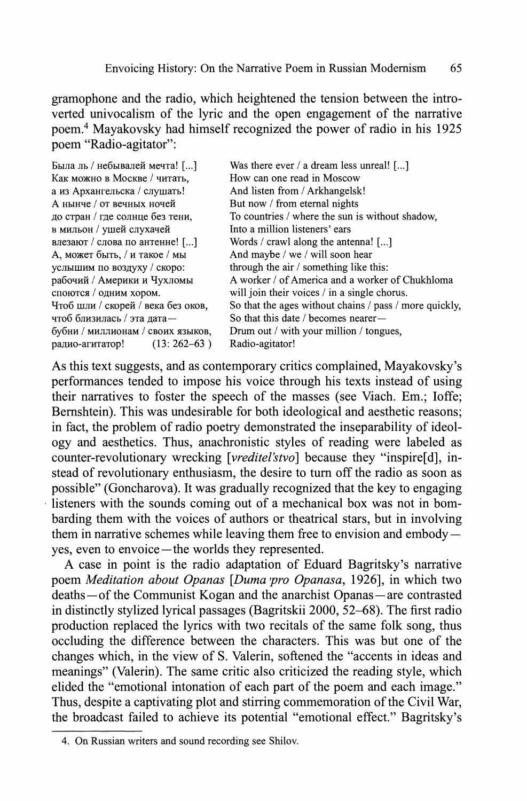gramophone and the radio, which heightened the tension between the introverted univocalism of the lyric and the open engagement of the narrative poem.<sup>4</sup> Mayakovsky had himself recognized the power of radio in his 1925 poem "Radio-agitator":

| Была ль / небывалей мечта! []      | Was there ever / a dream less unreal! []               |
|------------------------------------|--------------------------------------------------------|
| Как можно в Москве / читать,       | How can one read in Moscow                             |
| а из Архангельска / слушать!       | And listen from / Arkhangelsk!                         |
| А нынче / от вечных ночей          | But now / from eternal nights                          |
| до стран / где солнце без тени,    | To countries / where the sun is without shadow.        |
| в мильон / ушей слухачей           | Into a million listeners' ears                         |
| влезают / слова по антенне! []     | Words / crawl along the antenna! $[\dots]$             |
| А, может быть, / и такое / мы      | And maybe / we / will soon hear                        |
| услышим по воздуху / скоро:        | through the air / something like this:                 |
| рабочий / Америки и Чухломы        | A worker / of America and a worker of Chukhloma        |
| споются / одним хором.             | will join their voices / in a single chorus.           |
| Чтоб шли / скорей / века без оков, | So that the ages without chains / pass / more quickly, |
| чтоб близилась / эта дата-         | So that this date / becomes nearer—                    |
| бубни / миллионам / своих языков,  | Drum out / with your million / tongues,                |
| $(13:262-63)$<br>радио-агитатор!   | Radio-agitator!                                        |

As this text suggests, and as contemporary critics complained, Mayakovsky's performances tended to impose his voice through his texts instead of using their narratives to foster the speech of the masses (see Viach. Em.; Ioffe; Bernshtein). This was undesirable for both ideological and aesthetic reasons; in fact, the problem of radio poetry demonstrated the inseparability of ideology and aesthetics. Thus, anachronistic styles of reading were labeled as counter-revolutionary wrecking [*vreditel'stvo*] because they "inspire[d], instead of revolutionary enthusiasm, the desire to turn off the radio as soon as possible" (Goncharova). It was gradually recognized that the key to engaging listeners with the sounds coming out of a mechanical box was not in bombarding them with the voices of authors or theatrical stars, but in involving them in narrative schemes while leaving them free to envision and embody yes, even to envoice—the worlds they represented.

A case in point is the radio adaptation of Eduard Bagritsky's narrative poem *Meditation about Opanas [Duma pro Opanasa*, 1926], in which two deaths—of the Communist Kogan and the anarchist Opanas—are contrasted in distinctly stylized lyrical passages (Bagritskii 2000, 52-68). The first radio production replaced the lyrics with two recitals of the same folk song, thus occluding the difference between the characters. This was but one of the changes which, in the view of S. Valerin, softened the "accents in ideas and meanings" (Valerin). The same critic also criticized the reading style, which elided the "emotional intonation of each part of the poem and each image." Thus, despite a captivating plot and stirring commemoration of the Civil War, the broadcast failed to achieve its potential "emotional effect." Bagritsky's

<sup>4.</sup> On Russian writers and sound recording see Shilov.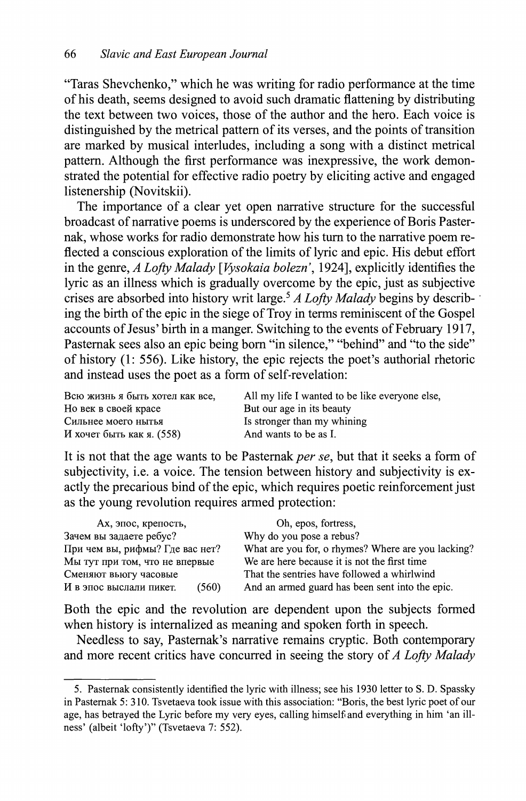"Taras Shevchenko," which he was writing for radio performance at the time of his death, seems designed to avoid such dramatic flattening by distributing the text between two voices, those of the author and the hero. Each voice is distinguished by the metrical pattern of its verses, and the points of transition are marked by musical interludes, including a song with a distinct metrical pattern. Although the first performance was inexpressive, the work demonstrated the potential for effective radio poetry by eliciting active and engaged listenership (Novitskii).

The importance of a clear yet open narrative structure for the successful broadcast of narrative poems is underscored by the experience of Boris Pasternak, whose works for radio demonstrate how his turn to the narrative poem reflected a conscious exploration of the limits of lyric and epic. His debut effort in the genre, *A Lofty Malady [Vysokaia bolezn\* 1924], explicitly identifies the lyric as an illness which is gradually overcome by the epic, just as subjective crises are absorbed into history writ large.<sup>5</sup>  *A Lofty Malady* begins by describing the birth of the epic in the siege of Troy in terms reminiscent of the Gospel accounts of Jesus' birth in a manger. Switching to the events of February 1917, Pasternak sees also an epic being born "in silence," "behind" and "to the side" of history (1: 556). Like history, the epic rejects the poet's authorial rhetoric and instead uses the poet as a form of self-revelation:

Ho век в своей красе But our age in its beauty Сильне моег ныть Is stronger than my whining  $M$  хочет быть как я. (558) And wants to be as I.

Всю жизнь я быть хотел как все, All my life I wanted to be like everyone else,

It is not that the age wants to be Pasternak *per se*, but that it seeks a form of subjectivity, i.e. a voice. The tension between history and subjectivity is exactly the precarious bind of the epic, which requires poetic reinforcement just as the young revolution requires armed protection:

| Ах, эпос, крепость,              | Oh, epos, fortress,                                |
|----------------------------------|----------------------------------------------------|
| Зачем вы задаете ребус?          | Why do you pose a rebus?                           |
| При чем вы, рифмы? Где вас нет?  | What are you for, o rhymes? Where are you lacking? |
| Мы тут при том, что не впервые   | We are here because it is not the first time       |
| Сменяют вьюгу часовые            | That the sentries have followed a whirlwind        |
| (560)<br>И в эпос выслали пикет. | And an armed guard has been sent into the epic.    |

Both the epic and the revolution are dependent upon the subjects formed when history is internalized as meaning and spoken forth in speech.

Needless to say, Pasternak's narrative remains cryptic. Both contemporary and more recent critics have concurred in seeing the story of *A Lofty Malady* 

<sup>5.</sup> Pasternak consistently identified the lyric with illness; see his 1930 letter to S. D. Spassky in Pasternak 5:310. Tsvetaeva took issue with this association: "Boris, the best lyric poet of our age, has betrayed the Lyric before my very eyes, calling himself and everything in him 'an illness' (albeit 'lofty')" (Tsvetaeva 7: 552).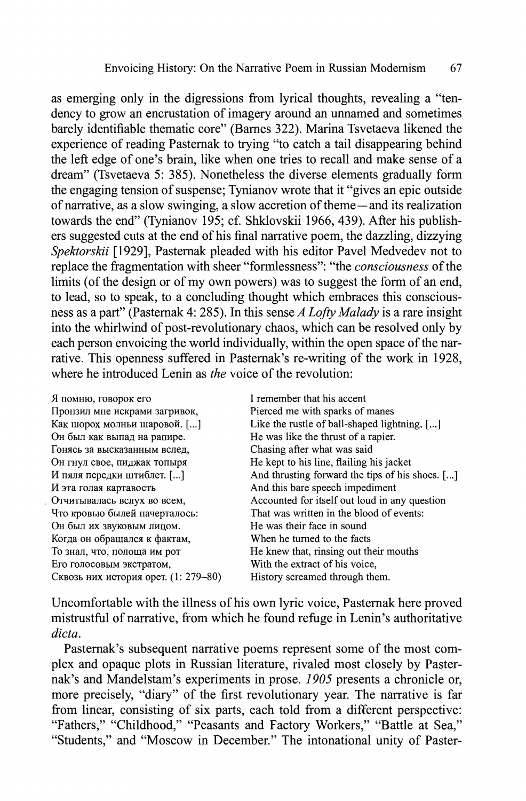as emerging only in the digressions from lyrical thoughts, revealing a "tendency to grow an encrustation of imagery around an unnamed and sometimes barely identifiable thematic core" (Barnes 322). Marina Tsvetaeva likened the experience of reading Pasternak to trying "to catch a tail disappearing behind the left edge of one's brain, like when one tries to recall and make sense of a dream" (Tsvetaeva 5: 385). Nonetheless the diverse elements gradually form the engaging tension of suspense; Tynianov wrote that it "gives an epic outside of narrative, as a slow swinging, a slow accretion of theme—and its realization towards the end" (Tynianov 195; cf. Shklovskii 1966, 439). After his publishers suggested cuts at the end of his final narrative poem, the dazzling, dizzying *Spektorskii* [1929], Pasternak pleaded with his editor Pavel Medvedev not to replace the fragmentation with sheer "formlessness": "the *consciousness* of the limits (of the design or of my own powers) was to suggest the form of an end, to lead, so to speak, to a concluding thought which embraces this consciousness as a part" (Pasternak 4: 285). In this sense *A Lofty Malady* is a rare insight into the whirlwind of post-revolutionary chaos, which can be resolved only by each person envoicing the world individually, within the open space of the narrative. This openness suffered in Pasternak's re-writing of the work in 1928, where he introduced Lenin as *the* voice of the revolution:

| Я помню, говорок его                 | I remember that his accent                      |
|--------------------------------------|-------------------------------------------------|
| Пронзил мне искрами загривок,        | Pierced me with sparks of manes                 |
| Как шорох молньи шаровой. []         | Like the rustle of ball-shaped lightning. []    |
| Он был как выпад на рапире.          | He was like the thrust of a rapier.             |
| Гонясь за высказанным вслед,         | Chasing after what was said                     |
| Он гнул свое, пиджак топыря          | He kept to his line, flailing his jacket        |
| И пяля передки штиблет. []           | And thrusting forward the tips of his shoes. [] |
| И эта голая картавость               | And this bare speech impediment                 |
| Отчитывалась вслух во всем,          | Accounted for itself out loud in any question   |
| Что кровью былей начерталось:        | That was written in the blood of events:        |
| Он был их звуковым лицом.            | He was their face in sound                      |
| Когда он обращался к фактам,         | When he turned to the facts                     |
| То знал, что, полоща им рот          | He knew that, rinsing out their mouths          |
| Его голосовым экстратом,             | With the extract of his voice,                  |
| Сквозь них история орет. (1: 279-80) | History screamed through them.                  |

Uncomfortable with the illness of his own lyric voice, Pasternak here proved mistrustful of narrative, from which he found refuge in Lenin's authoritative *dicta.* 

Pasternak's subsequent narrative poems represent some of the most complex and opaque plots in Russian literature, rivaled most closely by Pasternak's and Mandelstam's experiments in prose. *1905* presents a chronicle or, more precisely, "diary" of the first revolutionary year. The narrative is far from linear, consisting of six parts, each told from a different perspective: "Fathers," "Childhood," "Peasants and Factory Workers," "Battle at Sea," "Students," and "Moscow in December." The intonational unity of Paster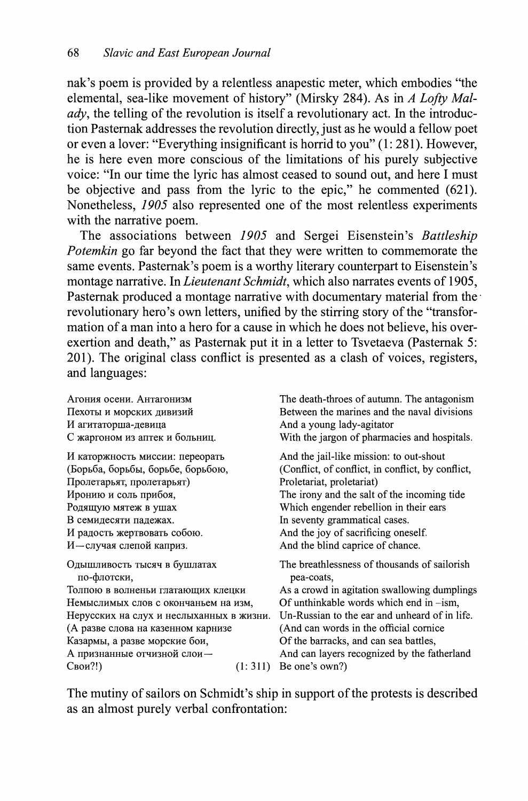nak's poem is provided by a relentless anapestic meter, which embodies "the elemental, sea-like movement of history" (Mirsky 284). As in *A Lofty Malady*, the telling of the revolution is itself a revolutionary act. In the introduction Pasternak addresses the revolution directly, just as he would a fellow poet or even a lover: "Everything insignificant is horrid to you" (1: 281). However, he is here even more conscious of the limitations of his purely subjective voice: "In our time the lyric has almost ceased to sound out, and here I must be objective and pass from the lyric to the epic," he commented (621). Nonetheless, *1905* also represented one of the most relentless experiments with the narrative poem.

The associations between *1905* and Sergei Eisenstein's *Battleship Potemkin* go far beyond the fact that they were written to commemorate the same events. Pasternak's poem is a worthy literary counterpart to Eisenstein's montage narrative. In *Lieutenant Schmidt,* which also narrates events of 1905, Pasternak produced a montage narrative with documentary material from the revolutionary hero's own letters, unified by the stirring story of the "transformation of a man into a hero for a cause in which he does not believe, his overexertion and death," as Pasternak put it in a letter to Tsvetaeva (Pasternak 5: 201). The original class conflict is presented as a clash of voices, registers, and languages:

Агония осени. Антагонизм Пехоты и морских дивизий агитаторша-девица С жаргоном из аптек и больниц. И каторжность миссии: переорать (Борьба, борьбы, борьбе, борьбою, Пролетарьят, пролетарьят) Иронию и соль прибоя, Родящую мятеж в ушах В семидесяти падежах. И радость жертвовать собою. И-случая слепой каприз. Одышливость тысяч в бушлатах по-флотски, Толпою в волненьи глатающих клецки Немыслимых слов с окончаньем на изм, Нерусских на слух и неслыханных в жизни. (А разве слова на казенном карнизе Казармы, а разве морские бои, А признанные отчизной слои- $\text{C}\text{B}\text{O}\text{H}$ ?!)  $\text{C}\text{B}\text{O}\text{H}$  (1:311) Be one's own?) The death-throes of autumn. The antagonism Between the marines and the naval divisions And a young lady-agitator With the jargon of pharmacies and hospitals. And the jail-like mission: to out-shout (Conflict, of conflict, in conflict, by conflict, Proletariat, proletariat) The irony and the salt of the incoming tide Which engender rebellion in their ears In seventy grammatical cases. And the joy of sacrificing oneself. And the blind caprice of chance. The breathlessness of thousands of sailorish pea-coats, As a crowd in agitation swallowing dumplings Of unthinkable words which end in -ism, Un-Russian to the ear and unheard of in life. (And can words in the official cornice Of the barracks, and can sea battles, And can layers recognized by the fatherland

The mutiny of sailors on Schmidt's ship in support of the protests is described as an almost purely verbal confrontation: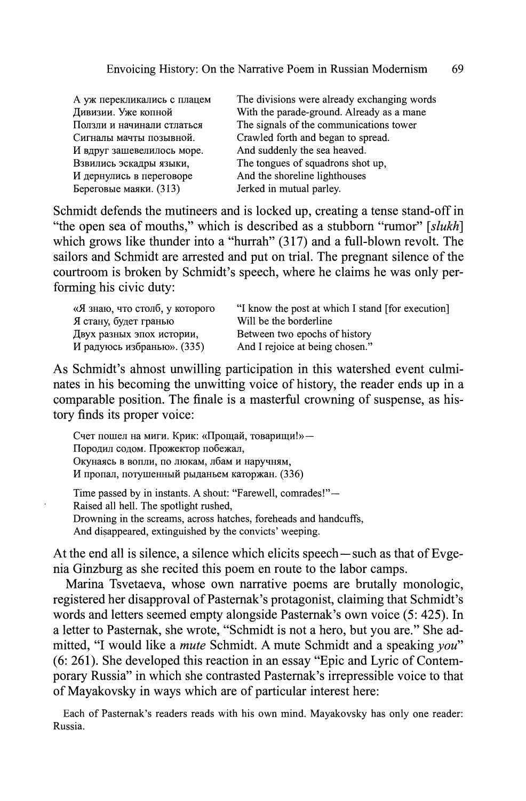| А уж перекликались с плацем |   |
|-----------------------------|---|
| Дивизии. Уже копной         | V |
| Ползли и начинали стлаться  | Ί |
| Сигналы мачты позывной.     | r |
| И вдруг зашевелилось море.  | A |
| Взвились эскадры языки,     | Ί |
| И дернулись в переговоре    | A |
| Береговые маяки. (313)      | Ι |

The divisions were already exchanging words With the parade-ground. Already as a mane The signals of the communications tower Crawled forth and began to spread. And suddenly the sea heaved. The tongues of squadrons shot up, And the shoreline lighthouses erked in mutual parley.

Schmidt defends the mutineers and is locked up, creating a tense stand-off in "the open sea of mouths," which is described as a stubborn "rumor" *[slukh]*  which grows like thunder into a "hurrah" (317) and a full-blown revolt. The sailors and Schmidt are arrested and put on trial. The pregnant silence of the courtroom is broken by Schmidt's speech, where he claims he was only performing his civic duty:

| «Я знаю, что столб, у которого | "I know the post at which I stand [for execution] |
|--------------------------------|---------------------------------------------------|
| Я стану, будет гранью          | Will be the borderline                            |
| Двух разных эпох истории,      | Between two epochs of history                     |
| И радуюсь избранью». (335)     | And I rejoice at being chosen."                   |

As Schmidt's ahnost unwilling participation in this watershed event culminates in his becoming the unwitting voice of history, the reader ends up in a comparable position. The finale is a masterful crowning of suspense, as history finds its proper voice:

Счет пошел на миги. Крик: «Прощай, товарищи!»-Породил содом. Прожектор побежал, Окунаясь в вопли, по люкам, лбам и наручням, И пропал, потушенный рыданьем каторжан. (336) Time passed by in instants. A shout: "Farewell, comrades!"— Raised all hell. The spotlight rushed,

Drowning in the screams, across hatches, foreheads and handcuffs,

And disappeared, extinguished by the convicts' weeping.

At the end all is silence, a silence which elicits speech—such as that of Evgenia Ginzburg as she recited this poem en route to the labor camps.

Marina Tsvetaeva, whose own narrative poems are brutally monologic, registered her disapproval of Pasternak's protagonist, claiming that Schmidt's words and letters seemed empty alongside Pasternak's own voice (5: 425). In a letter to Pasternak, she wrote, "Schmidt is not a hero, but you are." She admitted, "I would like a *mute* Schmidt. A mute Schmidt and a speaking *you"*  (6: 261). She developed this reaction in an essay "Epic and Lyric of Contemporary Russia" in which she contrasted Pasternak's irrepressible voice to that of Mayakovsky in ways which are of particular interest here:

Each of Pasternak's readers reads with his own mind. Mayakovsky has only one reader: Russia.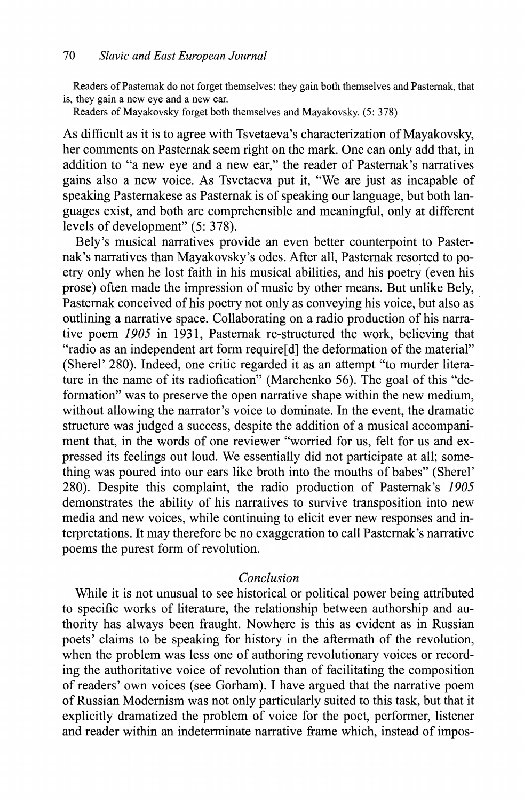Readers of Pasternak do not forget themselves: they gain both themselves and Pasternak, that is, they gain a new eye and a new ear.

Readers of Mayakovsky forget both themselves and Mayakovsky. (5: 378)

As difficult as it is to agree with Tsvetaeva's characterization of Mayakovsky, her comments on Pasternak seem right on the mark. One can only add that, in addition to "a new eye and a new ear," the reader of Pasternak's narratives gains also a new voice. As Tsvetaeva put it, "We are just as incapable of speaking Pasternakese as Pasternak is of speaking our language, but both languages exist, and both are comprehensible and meaningful, only at different levels of development" (5: 378).

Bely's musical narratives provide an even better counterpoint to Pasternak's narratives than Mayakovsky's odes. After all, Pasternak resorted to poetry only when he lost faith in his musical abilities, and his poetry (even his prose) often made the impression of music by other means. But unlike Bely, Pasternak conceived of his poetry not only as conveying his voice, but also as outlining a narrative space. Collaborating on a radio production of his narrative poem *1905* in 1931, Pasternak re-structured the work, believing that "radio as an independent art form require[d] the deformation of the material" (Sherel'  $280$ ). Indeed, one critic regarded it as an attempt "to murder literature in the name of its radiofication" (Marchenko 56). The goal of this "deformation" was to preserve the open narrative shape within the new medium, without allowing the narrator's voice to dominate. In the event, the dramatic structure was judged a success, despite the addition of a musical accompaniment that, in the words of one reviewer "worried for us, felt for us and expressed its feelings out loud. We essentially did not participate at all; something was poured into our ears like broth into the mouths of babes" (Sherel' 280). Despite this complaint, the radio production of Pasternak's *1905*  demonstrates the ability of his narratives to survive transposition into new media and new voices, while continuing to elicit ever new responses and interpretations. It may therefore be no exaggeration to call Pasternak's narrative poems the purest form of revolution.

## *Conclusion*

While it is not unusual to see historical or political power being attributed to specific works of literature, the relationship between authorship and authority has always been fraught. Nowhere is this as evident as in Russian poets' claims to be speaking for history in the aftermath of the revolution, when the problem was less one of authoring revolutionary voices or recording the authoritative voice of revolution than of facilitating the composition of readers' own voices (see Gorham). I have argued that the narrative poem of Russian Modernism was not only particularly suited to this task, but that it explicitly dramatized the problem of voice for the poet, performer, listener and reader within an indeterminate narrative frame which, instead of impos-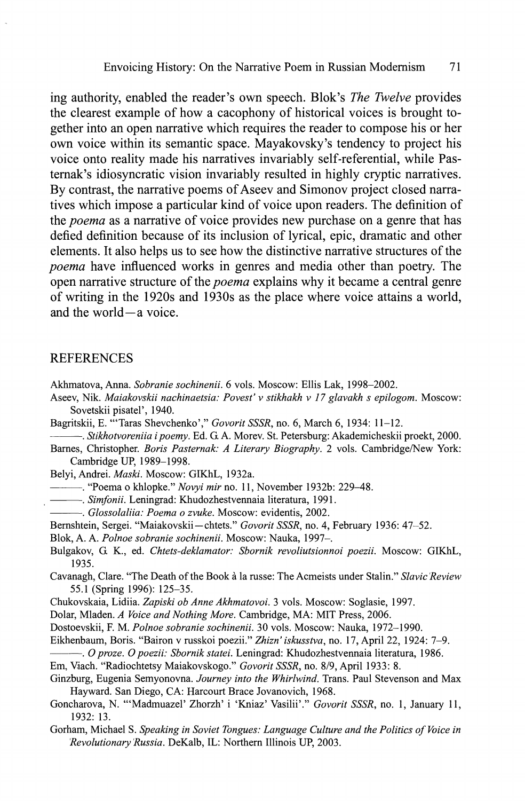ing authority, enabled the reader's own speech. Blok's *The Twelve* provides the clearest example of how a cacophony of historical voices is brought together into an open narrative which requires the reader to compose his or her own voice within its semantic space. Mayakovsky's tendency to project his voice onto reality made his narratives invariably self-referential, while Pasternak's idiosyncratic vision invariably resulted in highly cryptic narratives. By contrast, the narrative poems of Aseev and Simonov project closed narratives which impose a particular kind of voice upon readers. The definition of the *poema* as a narrative of voice provides new purchase on a genre that has defied definition because of its inclusion of lyrical, epic, dramatic and other elements. It also helps us to see how the distinctive narrative structures of the *poema* have influenced works in genres and media other than poetry. The open narrative structure of the *poema* explains why it became a central genre of writing in the 1920s and 1930s as the place where voice attains a world, and the world—a voice.

#### **REFERENCES**

- Akhmatova, Anna. *Sobranie sochinenii.* 6 vols. Moscow: Ellis Lak, 1998-2002.
- Aseev, Nik. *Maiakovskii nachinaetsia: Povest' v stikhakh v 17 glavakh s epilogom.* Moscow: Sovetskii pisatel', 1940.
- Bagritskii, E. "'Taras Shevchenko'," *Govorit SSSR,* no. 6, March 6, 1934: 11-12.
- *. Stikhotvoreniia ipoemy.* Ed. G. A. Morev. St. Petersburg: Akademicheskii proekt, 2000.
- Barnes, Christopher. *Boris Pasternak: A Literary Biography*. 2 vols. Cambridge/New York: Cambridge UP, 1989-1998.

Belyi, Andrei. *Maski.* Moscow: GIKhL, 1932a.

. "Poema о khlopke." *Novyi mir* no. 11, November 1932b: 229-48.

*. Simfonii.* Leningrad: Khudozhestvennaia literatura, 1991.

- *. Glossolaliia: Poema о zvuke.* Moscow: evidentis, 2002.
- Bernshtein, Sergei. "Maiakovskii—chtets." *Govorit SSSR,* no. 4, February 1936: 47-52.
- Blok, A. A. *Polnoe sobranie sochinenii.* Moscow: Nauka, 1997—.
- Bulgakov, G. K., ed. *Chtets-deklamator: Sbornik revoliutsionnoi poezii.* Moscow: GIKhL, 1935.
- Cavanagh, Clare. "The Death of the Book à la russe: The Acmeists under Stalin." *Slavic Review*  55.1 (Spring 1996): 125-35.
- Chukovskaia, Lidiia. *Zapiski ob Anne Akhmatovoi.* 3 vols. Moscow: Soglasie, 1997.
- Dolar, Mladen. *A Voice and Nothing More.* Cambridge, MA: MIT Press, 2006.

Dostoevskii, F. M. *Polnoe sobranie sochinenii.* 30 vols. Moscow: Nauka, 1972-1990.

Eikhenbaum, Boris. "Bairon v russkoi poezii." *Zhizn' is kusstva,* no. 17, April 22, 1924: 7-9.

*. Oproze. О poezii: Sbornik statei.* Leningrad: Khudozhestvennaia literatura, 1986.

Em, Viach. "Radiochtetsy Maiakovskogo." *Govorit SSSR,* no. 8/9, April 1933: 8.

Ginzburg, Eugenia Semyonovna. *Journey into the Whirlwind.* Trans. Paul Stevenson and Max Hayward. San Diego, CA: Harcourt Brace Jovanovich, 1968.

- Goncharova, N. "'Madmuazel' Zhorzh' i 'Kniaz' Vasilii'." *Govorit SSSR*, no. 1, January 11, 1932: 13.
- Gorham, Michael S. *Speaking in Soviet Tongues: Language Culture and the Politics of Voice in Revolutionary Russia.* DeKalb, IL: Northern Illinois UP, 2003.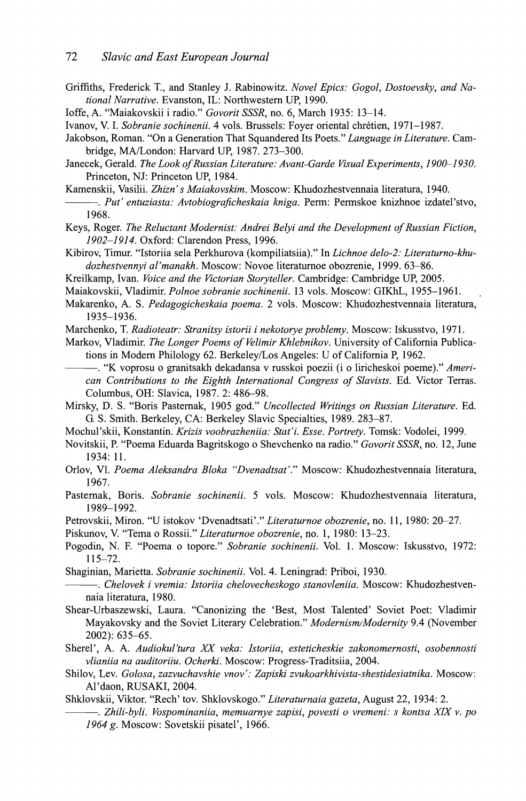- Griffiths, Frederick T., and Stanley J. Rabinowitz. *Novel Epics: Gogol, Dostoevsky, and National Narrative.* Evanston, IL: Northwestern UP, 1990.
- Ioffe, A. "Maiakovskii i radio." *Govorit SSSR,* no. 6, March 1935: 13-14.
- Ivanov, V. I. *Sobranie sochinenii.* 4 vols. Brussels: Foyer oriental chrétien, 1971-1987.
- Jakobson, Roman. "On a Generation That Squandered Its Poets." *Language in Literature.* Cambridge, MA/London: Harvard UP, 1987. 273-300.
- Janecek, Gerald. *The Look of Russian Literature: Avant-Garde Visual Experiments, 1900-1930.*  Princeton, NJ: Princeton UP, 1984.
- Kamenskii, Vasilii. *Zhizri s Maiakovskim.* Moscow: Khudozhestvennaia literatura, 1940.
- *. Put' entuziasta: Avtobiograficheskaia Icniga.* Perm: Permskoe knizhnoe izdatel'stvo, 1968.
- Keys, Roger. *The Reluctant Modernist: Andrei Belyi and the Development of Russian Fiction, 1902-1914*. Oxford: Clarendon Press, 1996.
- Kibirov, Timur. "Istoriia sela Perkhurova (kompiliatsiia)." In *Lichnoe delo-2: Literaturno-khudozhestvennyi al'manakh.* Moscow: Novoe literaturnoe obozrenie, 1999. 63-86.
- Kreilkamp, Ivan. *Voice and the Victorian Storyteller.* Cambridge: Cambridge UP, 2005.
- Maiakovskii, Vladimir. *Polnoe sobranie sochinenii.* 13 vols. Moscow: GIKhL, 1955-1961.
- Makarenko, A. S. *Pedagogicheskaia poema.* 2 vols. Moscow: Khudozhestvennaia literatura, 1935-1936.
- Marchenko, T. *Radioteatri Stranitsy istorii i nekotorye problemy.* Moscow: Iskusstvo, 1971.
- Markov, Vladimir. *The Longer Poems of Velimir Khlebnikov.* University of California Publications in Modern Philology 62. Berkeley/Los Angeles: U of California P, 1962.
- . "K voprosu о granitsakh dekadansa v russkoi poezii (i о liricheskoi poeme)." *American Contributions to the Eighth International Congress of Slavists.* Ed. Victor Terras. Columbus, OH: Slavica, 1987. 2: 486-98.
- Mirsky, D. S. "Boris Pasternak, 1905 god." *Uncollected Writings on Russian Literature.* Ed. G. S. Smith. Berkeley, CA: Berkeley Slavic Specialties, 1989. 283-87.
- Mochul'skii, Konstantin. *Krizis voobrazheniia: Stat'i. Esse. Portrety.* Tomsk: Vodolei, 1999.
- Novitskii, P. "Poema Eduarda Bagritskogo о Shevchenko na radio." *Govorit SSSR,* no. 12, June 1934: 11.
- Orlov, VI. *Poema Aleksandra Bloka "Dvenadtsat'."* Moscow: Khudozhestvennaia literatura, 1967.
- Pasternak, Boris. *Sobranie sochinenii.* 5 vols. Moscow: Khudozhestvennaia literatura, 1989-1992.
- Petrovskii, Miron. "U istokov 'Dvenadtsati'." *Literaturnoe obozrenie*, no. 11, 1980: 20-27.
- Piskunov, V. "Tema о Rossii." *Literaturnoe obozrenie*, no. 1, 1980: 13-23.
- Pogodin, N. F. "Poema о topore." *Sobranie sochinenii.* Vol. 1. Moscow: Iskusstvo, 1972: 115-72.
- Shaginian, Marietta. *Sobranie sochinenii.* Vol. 4. Leningrad: Priboi, 1930.
- *. Chelovek i vremia: Istoriia chelovecheskogo stanovleniia.* Moscow: Khudozhestvennaia literatura, 1980.
- Shear-Urbaszewski, Laura. "Canonizing the 'Best, Most Talented' Soviet Poet: Vladimir Mayakovsky and the Soviet Literary Celebration." *Modernism/Modernity* 9.4 (November 2002): 635-65.
- Sherel', A. A. *Audiokul'tura XX veka: Istoriia, esteticheskie zakonomernosti, osobennosti vlianiia na auditoriiu. Ocherki.* Moscow: Progress-Traditsiia, 2004.
- Shilov, Lev. *Golosa, zazvuchavshie vnov': Zapiski zvukoarkhivista-shestidesiatnika.* Moscow: Al'daon, RUSAKI, 2004.

Shklovskii, Viktor. "Rech' tov. Shklovskogo." *Literatumaia gazeta*, August 22, 1934: 2.

*. Zhili-byli. Vospominaniia, memuarnye zapisi, povesti о vremeni: s kontsa XIX v. po 1964 g.* Moscow: Sovetskii pisatel', 1966.